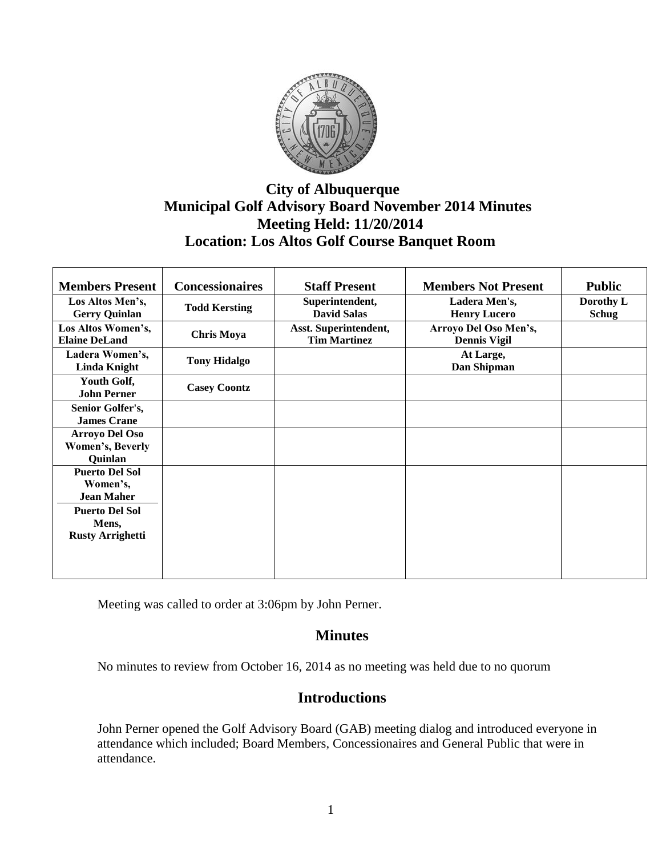

# **City of Albuquerque Municipal Golf Advisory Board November 2014 Minutes Meeting Held: 11/20/2014 Location: Los Altos Golf Course Banquet Room**

| <b>Members Present</b>                     | <b>Concessionaires</b> | <b>Staff Present</b>                         | <b>Members Not Present</b>           | <b>Public</b>             |
|--------------------------------------------|------------------------|----------------------------------------------|--------------------------------------|---------------------------|
|                                            |                        |                                              |                                      |                           |
| Los Altos Men's,<br><b>Gerry Quinlan</b>   | <b>Todd Kersting</b>   | Superintendent,<br><b>David Salas</b>        | Ladera Men's,<br><b>Henry Lucero</b> | Dorothy L<br><b>Schug</b> |
|                                            |                        |                                              |                                      |                           |
| Los Altos Women's,<br><b>Elaine DeLand</b> | <b>Chris Moya</b>      | Asst. Superintendent,<br><b>Tim Martinez</b> | Arroyo Del Oso Men's,                |                           |
|                                            |                        |                                              | <b>Dennis Vigil</b>                  |                           |
| Ladera Women's,                            | <b>Tony Hidalgo</b>    |                                              | At Large,                            |                           |
| <b>Linda Knight</b>                        |                        |                                              | Dan Shipman                          |                           |
| Youth Golf,                                | <b>Casey Coontz</b>    |                                              |                                      |                           |
| <b>John Perner</b>                         |                        |                                              |                                      |                           |
| Senior Golfer's,                           |                        |                                              |                                      |                           |
| <b>James Crane</b>                         |                        |                                              |                                      |                           |
| <b>Arroyo Del Oso</b>                      |                        |                                              |                                      |                           |
| Women's, Beverly                           |                        |                                              |                                      |                           |
| Quinlan                                    |                        |                                              |                                      |                           |
| <b>Puerto Del Sol</b>                      |                        |                                              |                                      |                           |
| Women's,                                   |                        |                                              |                                      |                           |
| <b>Jean Maher</b>                          |                        |                                              |                                      |                           |
| <b>Puerto Del Sol</b>                      |                        |                                              |                                      |                           |
| Mens,                                      |                        |                                              |                                      |                           |
| <b>Rusty Arrighetti</b>                    |                        |                                              |                                      |                           |
|                                            |                        |                                              |                                      |                           |
|                                            |                        |                                              |                                      |                           |
|                                            |                        |                                              |                                      |                           |

Meeting was called to order at 3:06pm by John Perner.

## **Minutes**

No minutes to review from October 16, 2014 as no meeting was held due to no quorum

## **Introductions**

John Perner opened the Golf Advisory Board (GAB) meeting dialog and introduced everyone in attendance which included; Board Members, Concessionaires and General Public that were in attendance.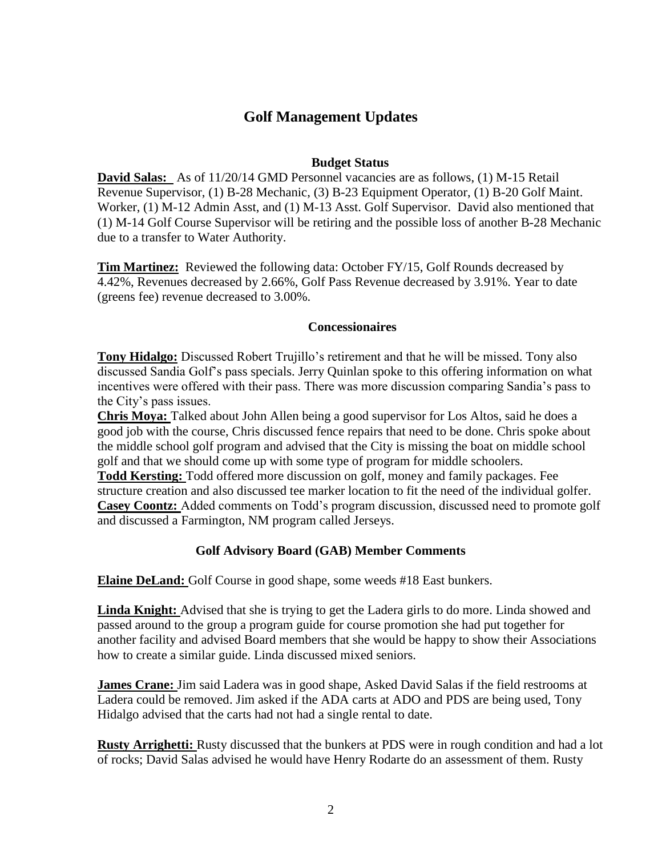## **Golf Management Updates**

### **Budget Status**

**David Salas:** As of 11/20/14 GMD Personnel vacancies are as follows, (1) M-15 Retail Revenue Supervisor, (1) B-28 Mechanic, (3) B-23 Equipment Operator, (1) B-20 Golf Maint. Worker, (1) M-12 Admin Asst, and (1) M-13 Asst. Golf Supervisor. David also mentioned that (1) M-14 Golf Course Supervisor will be retiring and the possible loss of another B-28 Mechanic due to a transfer to Water Authority.

**Tim Martinez:** Reviewed the following data: October FY/15, Golf Rounds decreased by 4.42%, Revenues decreased by 2.66%, Golf Pass Revenue decreased by 3.91%. Year to date (greens fee) revenue decreased to 3.00%.

#### **Concessionaires**

**Tony Hidalgo:** Discussed Robert Trujillo's retirement and that he will be missed. Tony also discussed Sandia Golf's pass specials. Jerry Quinlan spoke to this offering information on what incentives were offered with their pass. There was more discussion comparing Sandia's pass to the City's pass issues.

**Chris Moya:** Talked about John Allen being a good supervisor for Los Altos, said he does a good job with the course, Chris discussed fence repairs that need to be done. Chris spoke about the middle school golf program and advised that the City is missing the boat on middle school golf and that we should come up with some type of program for middle schoolers.

**Todd Kersting:** Todd offered more discussion on golf, money and family packages. Fee structure creation and also discussed tee marker location to fit the need of the individual golfer. **Casey Coontz:** Added comments on Todd's program discussion, discussed need to promote golf and discussed a Farmington, NM program called Jerseys.

### **Golf Advisory Board (GAB) Member Comments**

**Elaine DeLand:** Golf Course in good shape, some weeds #18 East bunkers.

**Linda Knight:** Advised that she is trying to get the Ladera girls to do more. Linda showed and passed around to the group a program guide for course promotion she had put together for another facility and advised Board members that she would be happy to show their Associations how to create a similar guide. Linda discussed mixed seniors.

**James Crane:** Jim said Ladera was in good shape, Asked David Salas if the field restrooms at Ladera could be removed. Jim asked if the ADA carts at ADO and PDS are being used, Tony Hidalgo advised that the carts had not had a single rental to date.

**Rusty Arrighetti:** Rusty discussed that the bunkers at PDS were in rough condition and had a lot of rocks; David Salas advised he would have Henry Rodarte do an assessment of them. Rusty